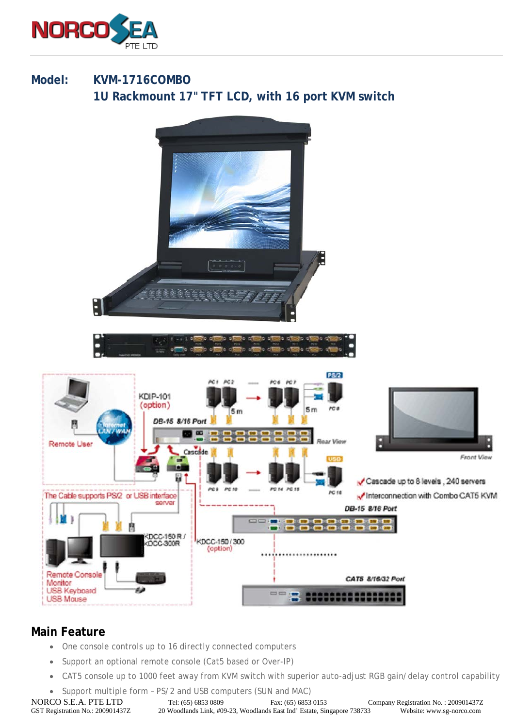

## **Model: KVM-1716COMBO 1U Rackmount 17" TFT LCD, with 16 port KVM switch**



## **Main Feature**

- One console controls up to 16 directly connected computers
- Support an optional remote console (Cat5 based or Over-IP)
- CAT5 console up to 1000 feet away from KVM switch with superior auto-adjust RGB gain/delay control capability
- Support multiple form PS/2 and USB computers (SUN and MAC)

NORCO S.E.A. PTE LTD Tel: (65) 6853 0809 Fax: (65) 6853 0153 Company Registration No. : 200901437Z<br>GST Registration No. : 200901437Z 20 Woodlands Link, #09-23, Woodlands East Ind' Estate, Singapore 738733 Website: www.sg-n 20 Woodlands Link, #09-23, Woodlands East Ind' Estate, Singapore 738733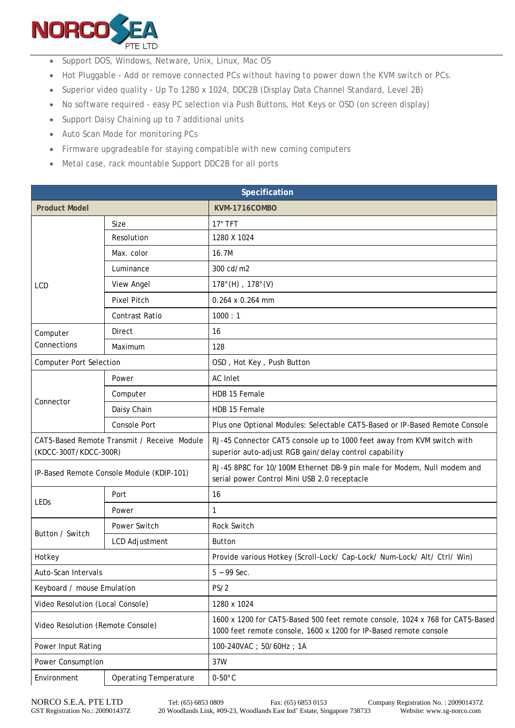

- Support DOS, Windows, Netware, Unix, Linux, Mac OS
- Hot Pluggable Add or remove connected PCs without having to power down the KVM switch or PCs.
- Superior video quality Up To 1280 x 1024, DDC2B (Display Data Channel Standard, Level 2B)
- No software required easy PC selection via Push Buttons, Hot Keys or OSD (on screen display)
- Support Daisy Chaining up to 7 additional units
- Auto Scan Mode for monitoring PCs
- Firmware upgradeable for staying compatible with new coming computers
- Metal case, rack mountable Support DDC2B for all ports

| Specification                                                        |                              |                                                                                                                                                    |  |
|----------------------------------------------------------------------|------------------------------|----------------------------------------------------------------------------------------------------------------------------------------------------|--|
| <b>Product Model</b>                                                 |                              | KVM-1716COMBO                                                                                                                                      |  |
| <b>LCD</b>                                                           | Size                         | $17"$ TFT                                                                                                                                          |  |
|                                                                      | Resolution                   | 1280 X 1024                                                                                                                                        |  |
|                                                                      | Max. color                   | 16.7M                                                                                                                                              |  |
|                                                                      | Luminance                    | 300 cd/m2                                                                                                                                          |  |
|                                                                      | <b>View Angel</b>            | $178^{\circ}$ (H), $178^{\circ}$ (V)                                                                                                               |  |
|                                                                      | <b>Pixel Pitch</b>           | 0.264 x 0.264 mm                                                                                                                                   |  |
|                                                                      | <b>Contrast Ratio</b>        | 1000:1                                                                                                                                             |  |
| Computer<br>Connections                                              | Direct                       | 16                                                                                                                                                 |  |
|                                                                      | Maximum                      | 128                                                                                                                                                |  |
| <b>Computer Port Selection</b>                                       |                              | OSD, Hot Key, Push Button                                                                                                                          |  |
| Connector                                                            | Power                        | <b>AC</b> Inlet                                                                                                                                    |  |
|                                                                      | Computer                     | HDB 15 Female                                                                                                                                      |  |
|                                                                      | Daisy Chain                  | HDB 15 Female                                                                                                                                      |  |
|                                                                      | <b>Console Port</b>          | Plus one Optional Modules: Selectable CAT5-Based or IP-Based Remote Console                                                                        |  |
| CAT5-Based Remote Transmit / Receive Module<br>(KDCC-300T/KDCC-300R) |                              | RJ-45 Connector CAT5 console up to 1000 feet away from KVM switch with<br>superior auto-adjust RGB gain/delay control capability                   |  |
| IP-Based Remote Console Module (KDIP-101)                            |                              | RJ-45 8P8C for 10/100M Ethernet DB-9 pin male for Modem, Null modem and<br>serial power Control Mini USB 2.0 receptacle                            |  |
| LEDs                                                                 | Port                         | 16                                                                                                                                                 |  |
|                                                                      | Power                        | $\mathbf{1}$                                                                                                                                       |  |
| Button / Switch                                                      | Power Switch                 | Rock Switch                                                                                                                                        |  |
|                                                                      | <b>LCD Adjustment</b>        | <b>Button</b>                                                                                                                                      |  |
| Hotkey                                                               |                              | Provide various Hotkey (Scroll-Lock/ Cap-Lock/ Num-Lock/ Alt/ Ctrl/ Win)                                                                           |  |
| Auto-Scan Intervals                                                  |                              | $5 - 99$ Sec.                                                                                                                                      |  |
| Keyboard / mouse Emulation                                           |                              | PS/2                                                                                                                                               |  |
| Video Resolution (Local Console)                                     |                              | 1280 x 1024                                                                                                                                        |  |
| Video Resolution (Remote Console)                                    |                              | 1600 x 1200 for CAT5-Based 500 feet remote console, 1024 x 768 for CAT5-Based<br>1000 feet remote console, 1600 x 1200 for IP-Based remote console |  |
| Power Input Rating                                                   |                              | 100-240VAC; 50/60Hz; 1A                                                                                                                            |  |
| Power Consumption                                                    |                              | 37W                                                                                                                                                |  |
| Environment                                                          | <b>Operating Temperature</b> | $0-50^{\circ}$ C                                                                                                                                   |  |